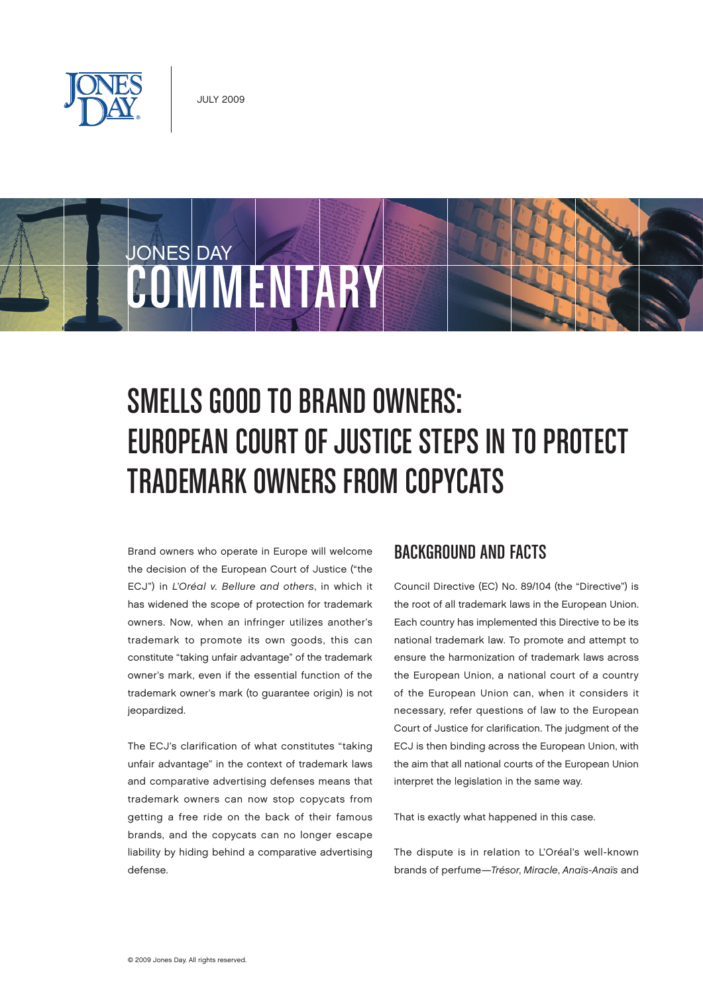

JONES DAY

# COWMENTARY

# Smells Good to Brand Owners: EUROPEAN COURT OF JUSTICE STEPS IN TO PROTECT Trademark Owners from Copycats

Brand owners who operate in Europe will welcome the decision of the European Court of Justice ("the ECJ") in L'Oréal v. Bellure and others, in which it has widened the scope of protection for trademark owners. Now, when an infringer utilizes another's trademark to promote its own goods, this can constitute "taking unfair advantage" of the trademark owner's mark, even if the essential function of the trademark owner's mark (to guarantee origin) is not jeopardized.

The ECJ's clarification of what constitutes "taking unfair advantage" in the context of trademark laws and comparative advertising defenses means that trademark owners can now stop copycats from getting a free ride on the back of their famous brands, and the copycats can no longer escape liability by hiding behind a comparative advertising defense.

#### Background and Facts

Council Directive (EC) No. 89/104 (the "Directive") is the root of all trademark laws in the European Union. Each country has implemented this Directive to be its national trademark law. To promote and attempt to ensure the harmonization of trademark laws across the European Union, a national court of a country of the European Union can, when it considers it necessary, refer questions of law to the European Court of Justice for clarification. The judgment of the ECJ is then binding across the European Union, with the aim that all national courts of the European Union interpret the legislation in the same way.

That is exactly what happened in this case.

The dispute is in relation to L'Oréal's well-known brands of perfume—Trésor, Miracle, Anaïs-Anaïs and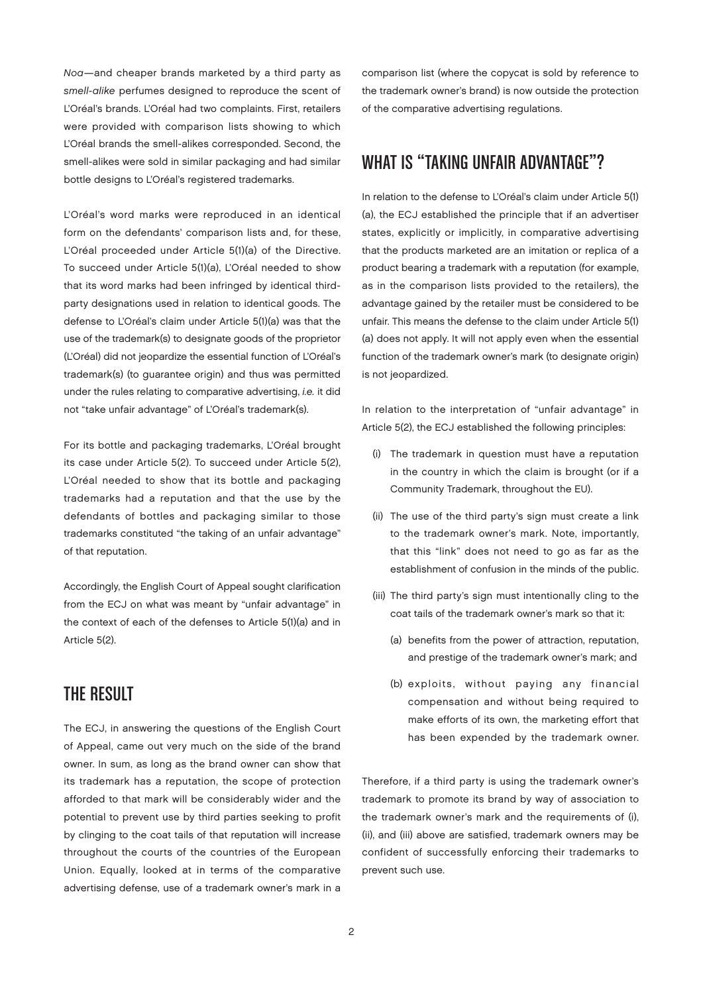Noa—and cheaper brands marketed by a third party as smell-alike perfumes designed to reproduce the scent of L'Oréal's brands. L'Oréal had two complaints. First, retailers were provided with comparison lists showing to which L'Oréal brands the smell-alikes corresponded. Second, the smell-alikes were sold in similar packaging and had similar bottle designs to L'Oréal's registered trademarks.

L'Oréal's word marks were reproduced in an identical form on the defendants' comparison lists and, for these, L'Oréal proceeded under Article 5(1)(a) of the Directive. To succeed under Article 5(1)(a), L'Oréal needed to show that its word marks had been infringed by identical thirdparty designations used in relation to identical goods. The defense to L'Oréal's claim under Article 5(1)(a) was that the use of the trademark(s) to designate goods of the proprietor (L'Oréal) did not jeopardize the essential function of L'Oréal's trademark(s) (to guarantee origin) and thus was permitted under the rules relating to comparative advertising, i.e. it did not "take unfair advantage" of L'Oréal's trademark(s).

For its bottle and packaging trademarks, L'Oréal brought its case under Article 5(2). To succeed under Article 5(2), L'Oréal needed to show that its bottle and packaging trademarks had a reputation and that the use by the defendants of bottles and packaging similar to those trademarks constituted "the taking of an unfair advantage" of that reputation.

Accordingly, the English Court of Appeal sought clarification from the ECJ on what was meant by "unfair advantage" in the context of each of the defenses to Article 5(1)(a) and in Article 5(2).

### The Result

The ECJ, in answering the questions of the English Court of Appeal, came out very much on the side of the brand owner. In sum, as long as the brand owner can show that its trademark has a reputation, the scope of protection afforded to that mark will be considerably wider and the potential to prevent use by third parties seeking to profit by clinging to the coat tails of that reputation will increase throughout the courts of the countries of the European Union. Equally, looked at in terms of the comparative advertising defense, use of a trademark owner's mark in a

comparison list (where the copycat is sold by reference to the trademark owner's brand) is now outside the protection of the comparative advertising regulations.

#### WHAT IS "TAKING UNFAIR ADVANTAGE"?

In relation to the defense to L'Oréal's claim under Article 5(1) (a), the ECJ established the principle that if an advertiser states, explicitly or implicitly, in comparative advertising that the products marketed are an imitation or replica of a product bearing a trademark with a reputation (for example, as in the comparison lists provided to the retailers), the advantage gained by the retailer must be considered to be unfair. This means the defense to the claim under Article 5(1) (a) does not apply. It will not apply even when the essential function of the trademark owner's mark (to designate origin) is not jeopardized.

In relation to the interpretation of "unfair advantage" in Article 5(2), the ECJ established the following principles:

- (i) The trademark in question must have a reputation in the country in which the claim is brought (or if a Community Trademark, throughout the EU).
- (ii) The use of the third party's sign must create a link to the trademark owner's mark. Note, importantly, that this "link" does not need to go as far as the establishment of confusion in the minds of the public.
- (iii) The third party's sign must intentionally cling to the coat tails of the trademark owner's mark so that it:
	- (a) benefits from the power of attraction, reputation, and prestige of the trademark owner's mark; and
	- (b) exploits, without paying any financial compensation and without being required to make efforts of its own, the marketing effort that has been expended by the trademark owner.

Therefore, if a third party is using the trademark owner's trademark to promote its brand by way of association to the trademark owner's mark and the requirements of (i), (ii), and (iii) above are satisfied, trademark owners may be confident of successfully enforcing their trademarks to prevent such use.